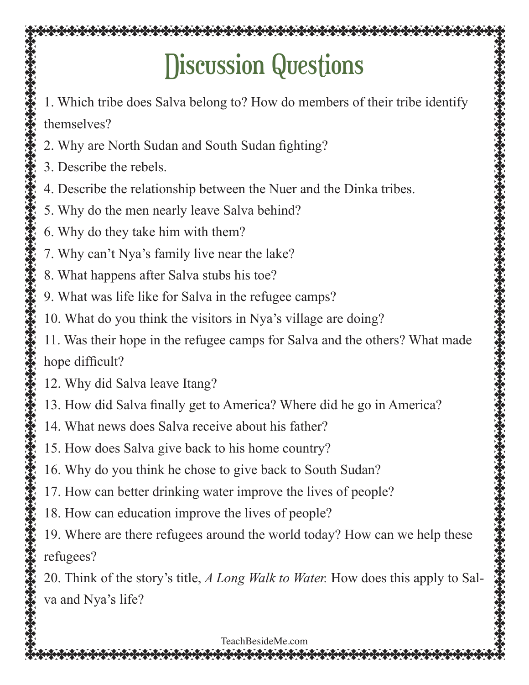### Discussion Questions

1. Which tribe does Salva belong to? How do members of their tribe identify themselves?

- 2. Why are North Sudan and South Sudan fighting?
- 3. Describe the rebels.
- 4. Describe the relationship between the Nuer and the Dinka tribes.
- 5. Why do the men nearly leave Salva behind?
- 6. Why do they take him with them?
- 7. Why can't Nya's family live near the lake?
- 8. What happens after Salva stubs his toe?
- 9. What was life like for Salva in the refugee camps?
- 10. What do you think the visitors in Nya's village are doing?
- 11. Was their hope in the refugee camps for Salva and the others? What made hope difficult?
- 12. Why did Salva leave Itang?
- 13. How did Salva finally get to America? Where did he go in America?
- 14. What news does Salva receive about his father?
- 15. How does Salva give back to his home country?
- 16. Why do you think he chose to give back to South Sudan?
- 17. How can better drinking water improve the lives of people?
- 18. How can education improve the lives of people?
- 19. Where are there refugees around the world today? How can we help these refugees?

20. Think of the story's title, *A Long Walk to Water.* How does this apply to Salva and Nya's life?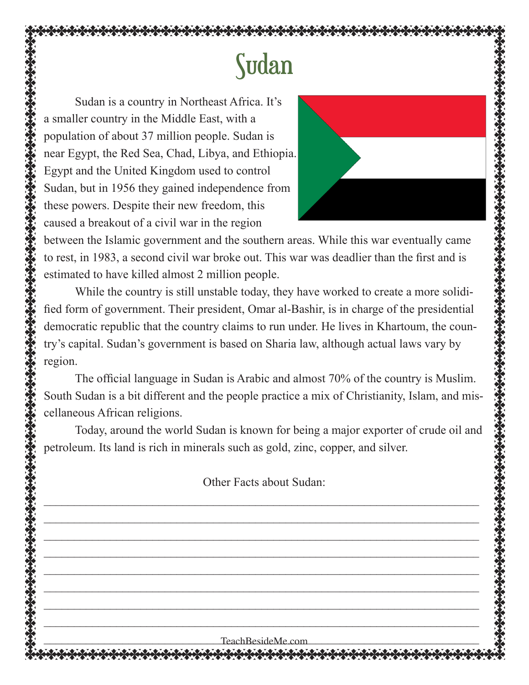# Sudan

Sudan is a country in Northeast Africa. It's a smaller country in the Middle East, with a population of about 37 million people. Sudan is near Egypt, the Red Sea, Chad, Libya, and Ethiopia. Egypt and the United Kingdom used to control Sudan, but in 1956 they gained independence from these powers. Despite their new freedom, this caused a breakout of a civil war in the region



between the Islamic government and the southern areas. While this war eventually came to rest, in 1983, a second civil war broke out. This war was deadlier than the first and is estimated to have killed almost 2 million people.

While the country is still unstable today, they have worked to create a more solidified form of government. Their president, Omar al-Bashir, is in charge of the presidential democratic republic that the country claims to run under. He lives in Khartoum, the country's capital. Sudan's government is based on Sharia law, although actual laws vary by region.

The official language in Sudan is Arabic and almost 70% of the country is Muslim. South Sudan is a bit different and the people practice a mix of Christianity, Islam, and miscellaneous African religions.

Today, around the world Sudan is known for being a major exporter of crude oil and petroleum. Its land is rich in minerals such as gold, zinc, copper, and silver.

Other Facts about Sudan:

 $\mathcal{L}_\mathcal{L}$  , and the contribution of the contribution of the contribution of the contribution of the contribution of the contribution of the contribution of the contribution of the contribution of the contribution of  $\_$  . The contribution of the contribution of the contribution of the contribution of the contribution of the contribution of the contribution of the contribution of the contribution of the contribution of the contributio  $\mathcal{L}_\mathcal{L}$  , and the contribution of the contribution of the contribution of the contribution of the contribution of the contribution of the contribution of the contribution of the contribution of the contribution of  $\mathcal{L}_\mathcal{L}$  , and the contribution of the contribution of the contribution of the contribution of the contribution of the contribution of the contribution of the contribution of the contribution of the contribution of  $\_$  . The contribution of the contribution of the contribution of the contribution of the contribution of the contribution of the contribution of the contribution of the contribution of the contribution of the contributio

 $Teach\text{ResideMe.com}$ 

 $\mathcal{L}_\mathcal{L}$  , and the contribution of the contribution of the contribution of the contribution of the contribution of the contribution of the contribution of the contribution of the contribution of the contribution of

 $\mathcal{L}_\mathcal{L}$  , and the contribution of the contribution of the contribution of the contribution of the contribution of the contribution of the contribution of the contribution of the contribution of the contribution of

 $\_$  . The contribution of the contribution of the contribution of the contribution of the contribution of the contribution of the contribution of the contribution of the contribution of the contribution of the contributio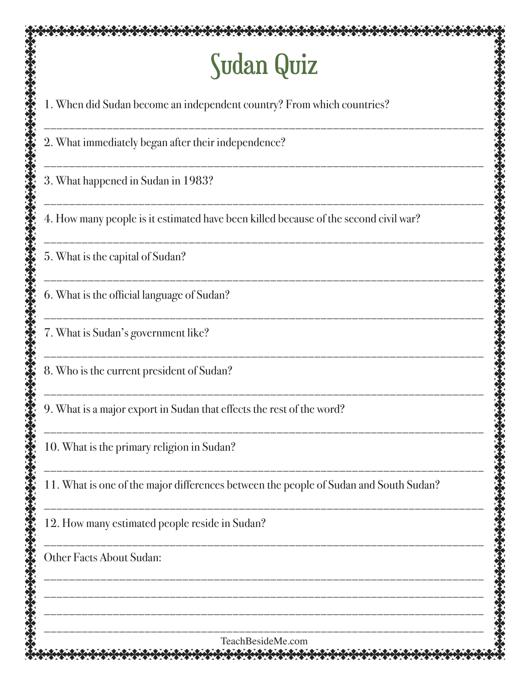# Sudan Quiz

| JUUGHI QUIL                                                                           |  |  |  |
|---------------------------------------------------------------------------------------|--|--|--|
| 1. When did Sudan become an independent country? From which countries?                |  |  |  |
| 2. What immediately began after their independence?                                   |  |  |  |
| 3. What happened in Sudan in 1983?                                                    |  |  |  |
| 4. How many people is it estimated have been killed because of the second civil war?  |  |  |  |
| 5. What is the capital of Sudan?                                                      |  |  |  |
| 6. What is the official language of Sudan?                                            |  |  |  |
| 7. What is Sudan's government like?                                                   |  |  |  |
| 8. Who is the current president of Sudan?                                             |  |  |  |
| 9. What is a major export in Sudan that effects the rest of the word?                 |  |  |  |
| 10. What is the primary religion in Sudan?                                            |  |  |  |
| 11. What is one of the major differences between the people of Sudan and South Sudan? |  |  |  |
| 12. How many estimated people reside in Sudan?                                        |  |  |  |
| <b>Other Facts About Sudan:</b>                                                       |  |  |  |
|                                                                                       |  |  |  |
| TeachBesideMe.com                                                                     |  |  |  |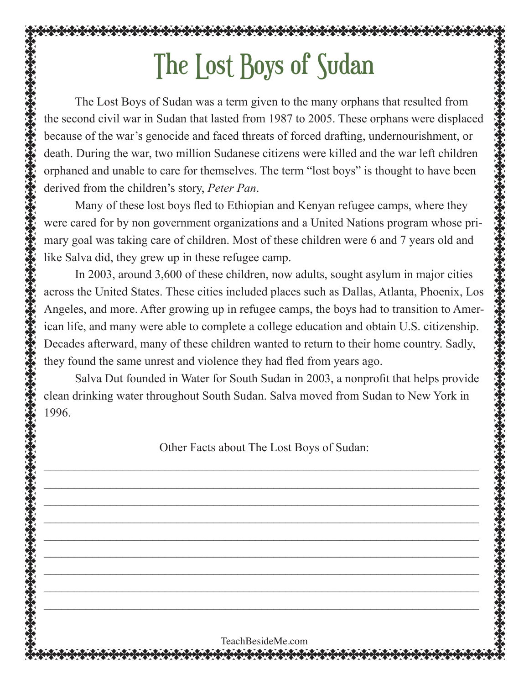# The Lost Boys of Sudan

The Lost Boys of Sudan was a term given to the many orphans that resulted from the second civil war in Sudan that lasted from 1987 to 2005. These orphans were displaced because of the war's genocide and faced threats of forced drafting, undernourishment, or death. During the war, two million Sudanese citizens were killed and the war left children orphaned and unable to care for themselves. The term "lost boys" is thought to have been derived from the children's story, *Peter Pan*.

Many of these lost boys fled to Ethiopian and Kenyan refugee camps, where they were cared for by non government organizations and a United Nations program whose primary goal was taking care of children. Most of these children were 6 and 7 years old and like Salva did, they grew up in these refugee camp.

In 2003, around 3,600 of these children, now adults, sought asylum in major cities across the United States. These cities included places such as Dallas, Atlanta, Phoenix, Los Angeles, and more. After growing up in refugee camps, the boys had to transition to American life, and many were able to complete a college education and obtain U.S. citizenship. Decades afterward, many of these children wanted to return to their home country. Sadly, they found the same unrest and violence they had fled from years ago.

Salva Dut founded in Water for South Sudan in 2003, a nonprofit that helps provide clean drinking water throughout South Sudan. Salva moved from Sudan to New York in 1996.

Other Facts about The Lost Boys of Sudan:

 $\_$  . The contribution of the contribution of the contribution of the contribution of the contribution of the contribution of the contribution of the contribution of the contribution of the contribution of the contributio

 $\mathcal{L}_\mathcal{L}$  , and the contribution of the contribution of the contribution of the contribution of the contribution of the contribution of the contribution of the contribution of the contribution of the contribution of

 $\mathcal{L}_\mathcal{L}$  , and the contribution of the contribution of the contribution of the contribution of the contribution of the contribution of the contribution of the contribution of the contribution of the contribution of

 $\_$  . The contribution of the contribution of the contribution of the contribution of the contribution of the contribution of the contribution of the contribution of the contribution of the contribution of the contributio

 $\mathcal{L}_\mathcal{L}$  , and the contribution of the contribution of the contribution of the contribution of the contribution of the contribution of the contribution of the contribution of the contribution of the contribution of

 $\mathcal{L}_\mathcal{L}$  , and the contribution of the contribution of the contribution of the contribution of the contribution of the contribution of the contribution of the contribution of the contribution of the contribution of  $\_$  . The contribution of the contribution of the contribution of the contribution of the contribution of the contribution of the contribution of the contribution of the contribution of the contribution of the contributio

 $\mathcal{L}_\mathcal{L}$  , and the contribution of the contribution of the contribution of the contribution of the contribution of the contribution of the contribution of the contribution of the contribution of the contribution of

 $\mathcal{L}_\mathcal{L}$  , and the contribution of the contribution of the contribution of the contribution of the contribution of the contribution of the contribution of the contribution of the contribution of the contribution of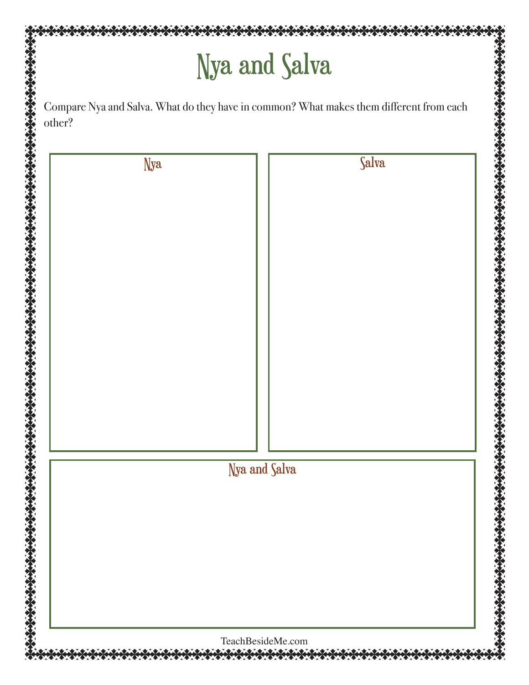### Nya and Salva

Compare Nya and Salva. What do they have in common? What makes them different from each other?

| <b>Nya</b> |               | Salva |  |
|------------|---------------|-------|--|
|            |               |       |  |
|            |               |       |  |
|            |               |       |  |
|            |               |       |  |
|            |               |       |  |
|            |               |       |  |
|            |               |       |  |
|            |               |       |  |
|            |               |       |  |
|            |               |       |  |
|            |               |       |  |
|            |               |       |  |
|            |               |       |  |
|            |               |       |  |
|            |               |       |  |
|            | Nya and Salva |       |  |
|            |               |       |  |
|            |               |       |  |
|            |               |       |  |
|            |               |       |  |
|            |               |       |  |
|            |               |       |  |
|            |               |       |  |
|            |               |       |  |
|            |               |       |  |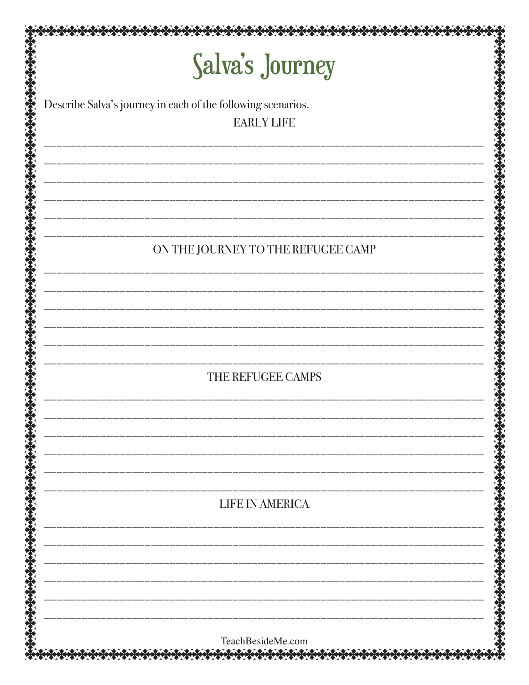| Salva's Journey                                              |  |
|--------------------------------------------------------------|--|
|                                                              |  |
| Describe Salva's journey in each of the following scenarios. |  |
| <b>EARLY LIFE</b>                                            |  |
|                                                              |  |
|                                                              |  |
|                                                              |  |
|                                                              |  |
|                                                              |  |
|                                                              |  |
| ON THE JOURNEY TO THE REFUGEE CAMP                           |  |
|                                                              |  |
|                                                              |  |
|                                                              |  |
|                                                              |  |
|                                                              |  |
|                                                              |  |
| THE REFUGEE CAMPS                                            |  |
|                                                              |  |
|                                                              |  |
|                                                              |  |
|                                                              |  |
|                                                              |  |
|                                                              |  |
| LIFE IN AMERICA                                              |  |
|                                                              |  |
|                                                              |  |
|                                                              |  |
|                                                              |  |
|                                                              |  |
|                                                              |  |
| TeachBesideMe.com                                            |  |